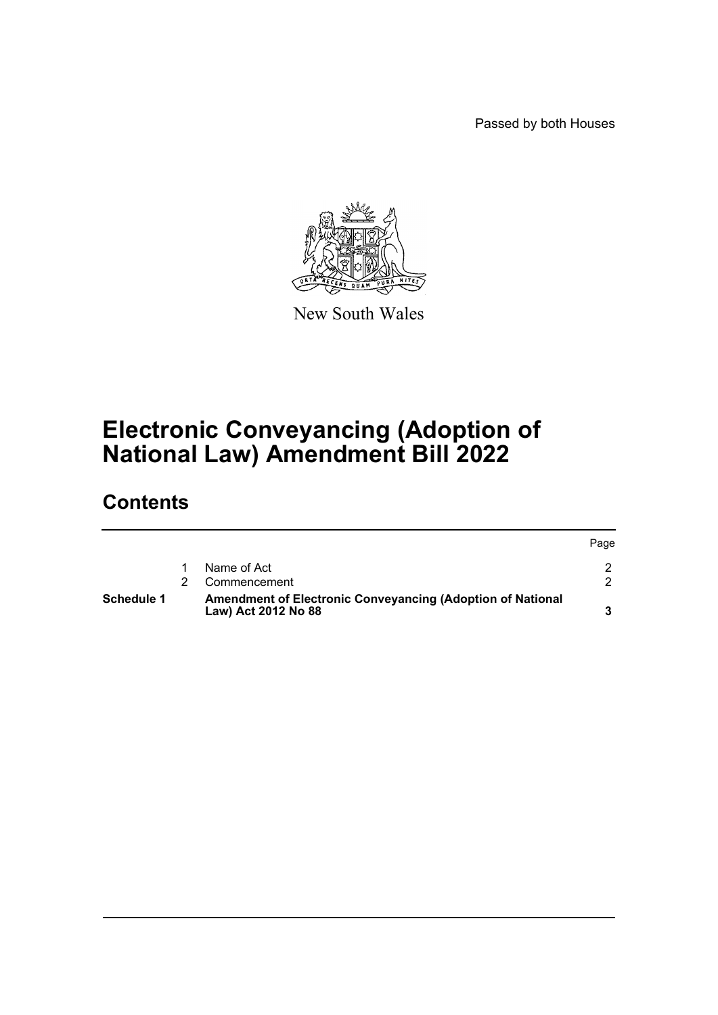Passed by both Houses



New South Wales

# **Electronic Conveyancing (Adoption of National Law) Amendment Bill 2022**

## **Contents**

| Schedule 1 | Amendment of Electronic Conveyancing (Adoption of National<br>Law) Act 2012 No 88 |      |
|------------|-----------------------------------------------------------------------------------|------|
|            | Commencement                                                                      |      |
|            | Name of Act                                                                       |      |
|            |                                                                                   | Page |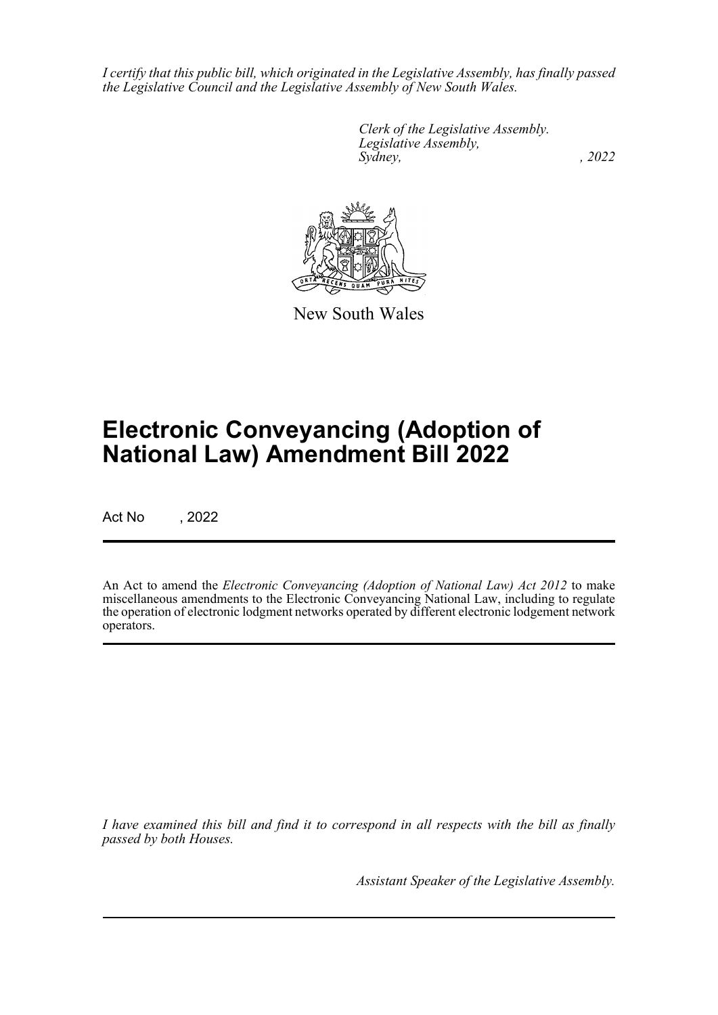*I certify that this public bill, which originated in the Legislative Assembly, has finally passed the Legislative Council and the Legislative Assembly of New South Wales.*

> *Clerk of the Legislative Assembly. Legislative Assembly, Sydney, , 2022*



New South Wales

# **Electronic Conveyancing (Adoption of National Law) Amendment Bill 2022**

Act No , 2022

An Act to amend the *Electronic Conveyancing (Adoption of National Law) Act 2012* to make miscellaneous amendments to the Electronic Conveyancing National Law, including to regulate the operation of electronic lodgment networks operated by different electronic lodgement network operators.

*I have examined this bill and find it to correspond in all respects with the bill as finally passed by both Houses.*

*Assistant Speaker of the Legislative Assembly.*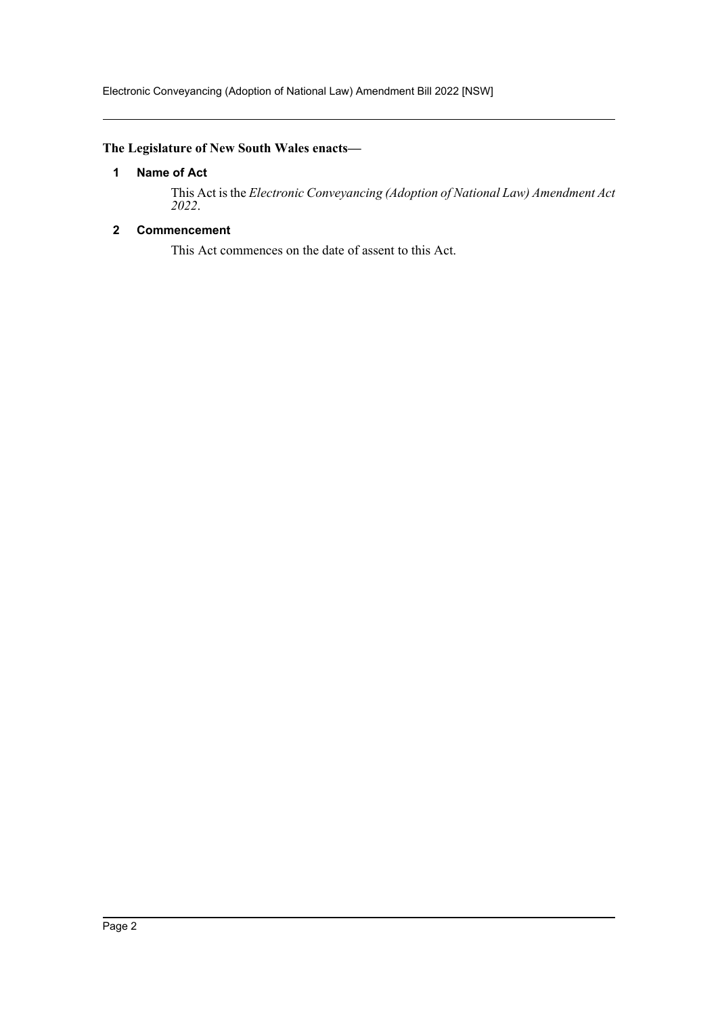## <span id="page-2-0"></span>**The Legislature of New South Wales enacts—**

## **1 Name of Act**

This Act is the *Electronic Conveyancing (Adoption of National Law) Amendment Act 2022*.

## <span id="page-2-1"></span>**2 Commencement**

This Act commences on the date of assent to this Act.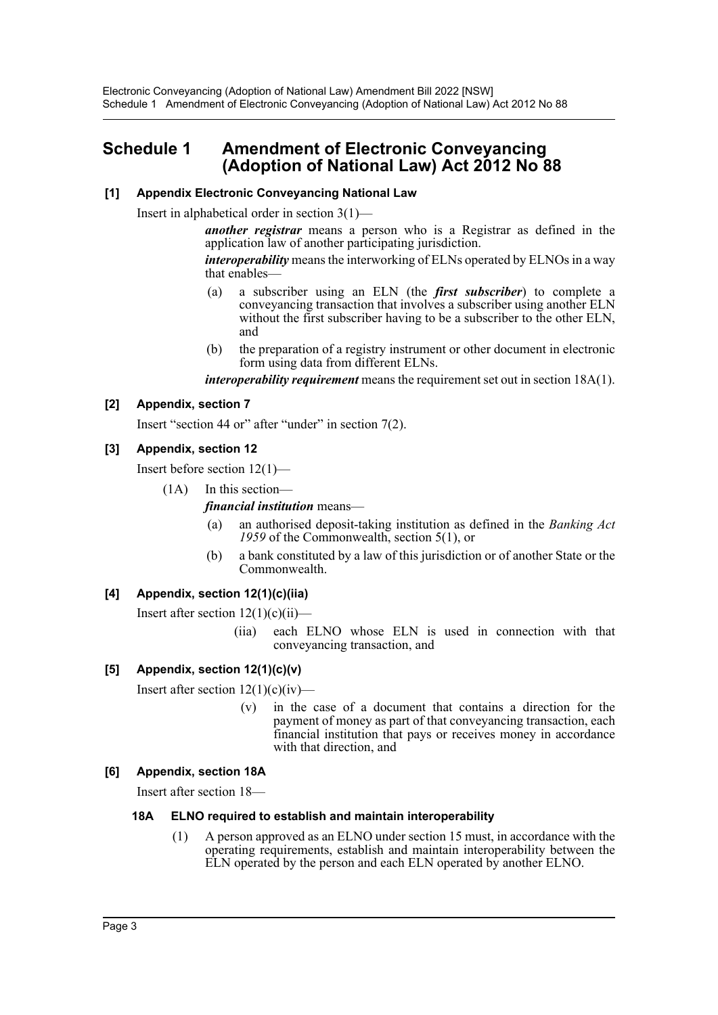## <span id="page-3-0"></span>**Schedule 1 Amendment of Electronic Conveyancing (Adoption of National Law) Act 2012 No 88**

## **[1] Appendix Electronic Conveyancing National Law**

Insert in alphabetical order in section 3(1)—

*another registrar* means a person who is a Registrar as defined in the application law of another participating jurisdiction.

*interoperability* means the interworking of ELNs operated by ELNOs in a way that enables—

- (a) a subscriber using an ELN (the *first subscriber*) to complete a conveyancing transaction that involves a subscriber using another ELN without the first subscriber having to be a subscriber to the other ELN, and
- (b) the preparation of a registry instrument or other document in electronic form using data from different ELNs.

*interoperability requirement* means the requirement set out in section 18A(1).

#### **[2] Appendix, section 7**

Insert "section 44 or" after "under" in section 7(2).

### **[3] Appendix, section 12**

Insert before section 12(1)—

(1A) In this section—

*financial institution* means—

- (a) an authorised deposit-taking institution as defined in the *Banking Act 1959* of the Commonwealth, section 5(1), or
- (b) a bank constituted by a law of this jurisdiction or of another State or the Commonwealth.

## **[4] Appendix, section 12(1)(c)(iia)**

Insert after section  $12(1)(c)(ii)$ —

(iia) each ELNO whose ELN is used in connection with that conveyancing transaction, and

## **[5] Appendix, section 12(1)(c)(v)**

Insert after section  $12(1)(c)(iv)$ —

(v) in the case of a document that contains a direction for the payment of money as part of that conveyancing transaction, each financial institution that pays or receives money in accordance with that direction, and

## **[6] Appendix, section 18A**

Insert after section 18—

#### **18A ELNO required to establish and maintain interoperability**

(1) A person approved as an ELNO under section 15 must, in accordance with the operating requirements, establish and maintain interoperability between the ELN operated by the person and each ELN operated by another ELNO.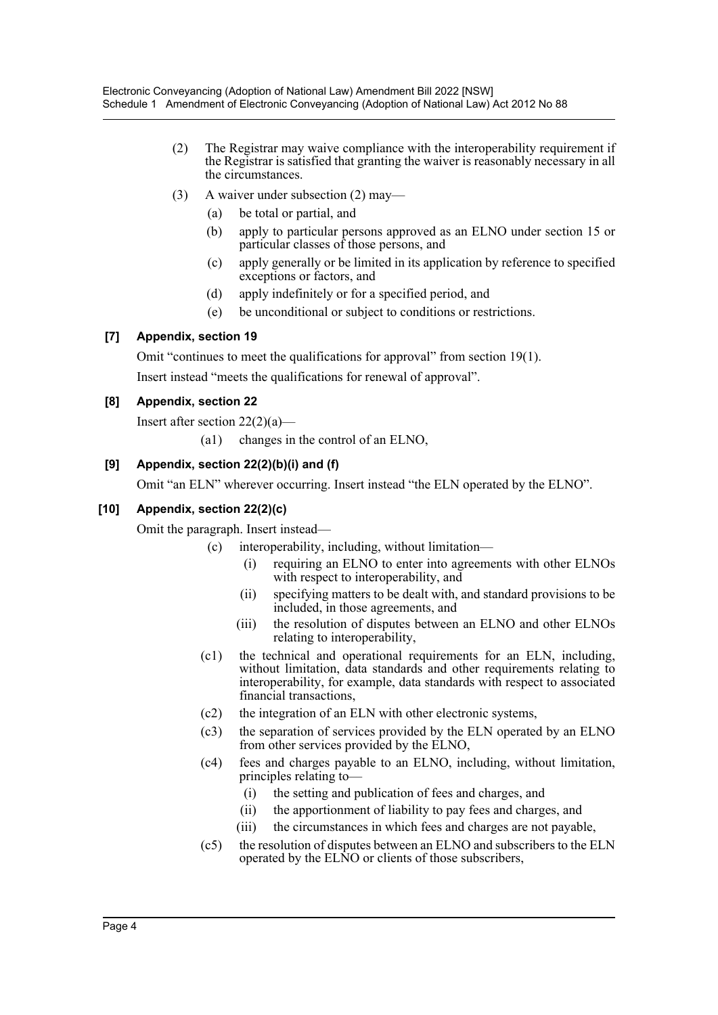- (2) The Registrar may waive compliance with the interoperability requirement if the Registrar is satisfied that granting the waiver is reasonably necessary in all the circumstances.
- (3) A waiver under subsection (2) may—
	- (a) be total or partial, and
	- (b) apply to particular persons approved as an ELNO under section 15 or particular classes of those persons, and
	- (c) apply generally or be limited in its application by reference to specified exceptions or factors, and
	- (d) apply indefinitely or for a specified period, and
	- (e) be unconditional or subject to conditions or restrictions.

## **[7] Appendix, section 19**

Omit "continues to meet the qualifications for approval" from section 19(1).

Insert instead "meets the qualifications for renewal of approval".

## **[8] Appendix, section 22**

Insert after section 22(2)(a)—

(a1) changes in the control of an ELNO,

## **[9] Appendix, section 22(2)(b)(i) and (f)**

Omit "an ELN" wherever occurring. Insert instead "the ELN operated by the ELNO".

## **[10] Appendix, section 22(2)(c)**

Omit the paragraph. Insert instead—

- (c) interoperability, including, without limitation—
	- (i) requiring an ELNO to enter into agreements with other ELNOs with respect to interoperability, and
	- (ii) specifying matters to be dealt with, and standard provisions to be included, in those agreements, and
	- (iii) the resolution of disputes between an ELNO and other ELNOs relating to interoperability,
- (c1) the technical and operational requirements for an ELN, including, without limitation, data standards and other requirements relating to interoperability, for example, data standards with respect to associated financial transactions,
- (c2) the integration of an ELN with other electronic systems,
- (c3) the separation of services provided by the ELN operated by an ELNO from other services provided by the ELNO,
- (c4) fees and charges payable to an ELNO, including, without limitation, principles relating to—
	- (i) the setting and publication of fees and charges, and
	- (ii) the apportionment of liability to pay fees and charges, and
	- (iii) the circumstances in which fees and charges are not payable,
- (c5) the resolution of disputes between an ELNO and subscribers to the ELN operated by the ELNO or clients of those subscribers,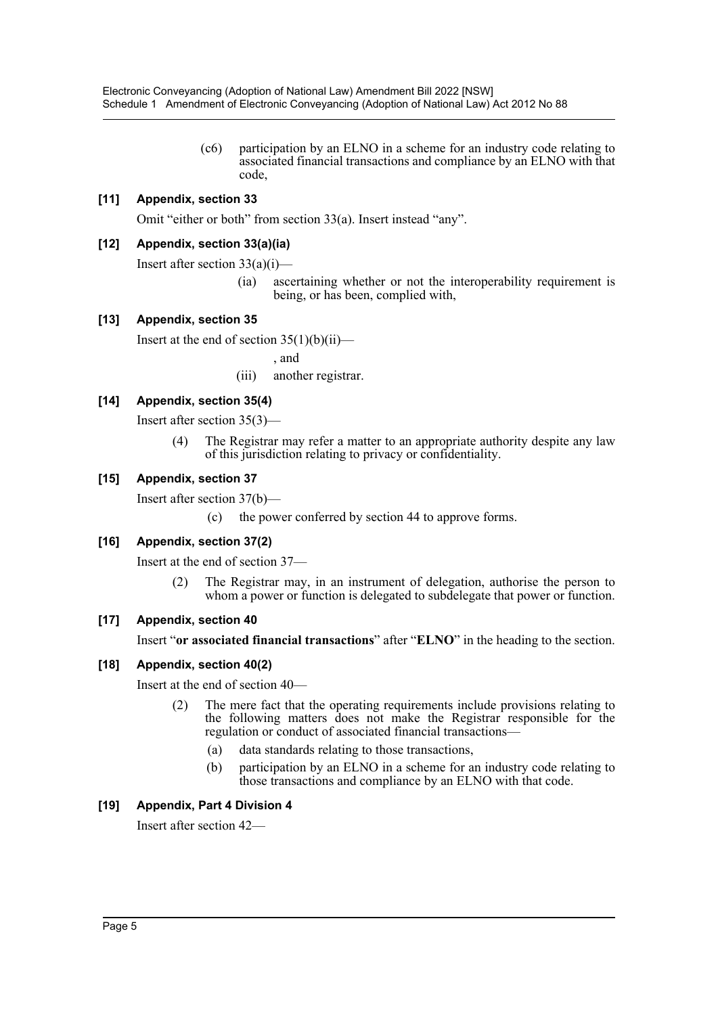(c6) participation by an ELNO in a scheme for an industry code relating to associated financial transactions and compliance by an ELNO with that code,

### **[11] Appendix, section 33**

Omit "either or both" from section 33(a). Insert instead "any".

#### **[12] Appendix, section 33(a)(ia)**

Insert after section  $33(a)(i)$ —

(ia) ascertaining whether or not the interoperability requirement is being, or has been, complied with,

#### **[13] Appendix, section 35**

Insert at the end of section  $35(1)(b)(ii)$ —

, and

(iii) another registrar.

#### **[14] Appendix, section 35(4)**

Insert after section 35(3)—

(4) The Registrar may refer a matter to an appropriate authority despite any law of this jurisdiction relating to privacy or confidentiality.

#### **[15] Appendix, section 37**

Insert after section 37(b)—

(c) the power conferred by section 44 to approve forms.

### **[16] Appendix, section 37(2)**

Insert at the end of section 37—

(2) The Registrar may, in an instrument of delegation, authorise the person to whom a power or function is delegated to subdelegate that power or function.

#### **[17] Appendix, section 40**

Insert "**or associated financial transactions**" after "**ELNO**" in the heading to the section.

#### **[18] Appendix, section 40(2)**

Insert at the end of section 40—

- (2) The mere fact that the operating requirements include provisions relating to the following matters does not make the Registrar responsible for the regulation or conduct of associated financial transactions—
	- (a) data standards relating to those transactions,
	- (b) participation by an ELNO in a scheme for an industry code relating to those transactions and compliance by an ELNO with that code.

#### **[19] Appendix, Part 4 Division 4**

Insert after section 42—